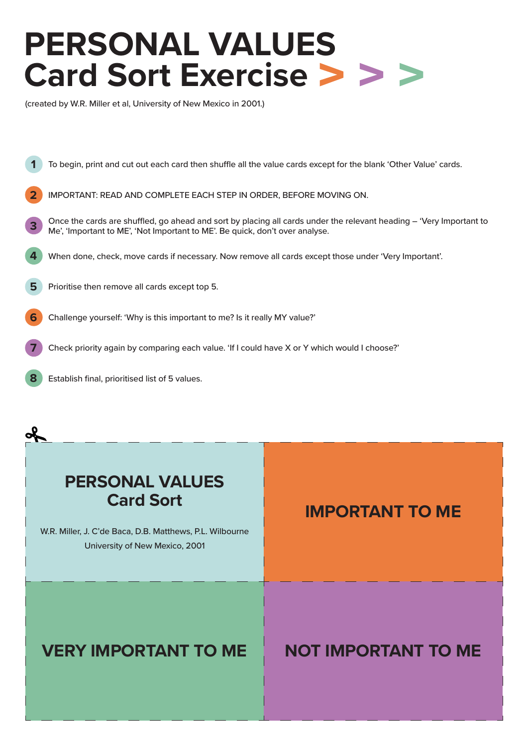# **PERSONAL VALUES Card Sort Exercise**

(created by W.R. Miller et al, University of New Mexico in 2001.)



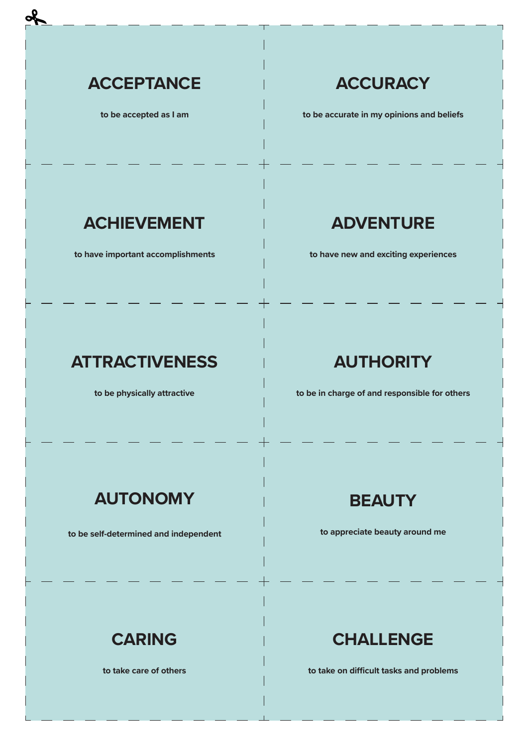

**to be accepted as I am**

## **ACCURACY**

**to be accurate in my opinions and beliefs**

#### **ACHIEVEMENT**

**to have important accomplishments**

## **ADVENTURE**

**to have new and exciting experiences**

# **ATTRACTIVENESS**

**to be physically attractive**

## **AUTHORITY**

**to be in charge of and responsible for others**

## **AUTONOMY**

**to be self-determined and independent**

#### **BEAUTY**

**to appreciate beauty around me**

# **CARING**

**to take care of others**

## **CHALLENGE**

**to take on difficult tasks and problems**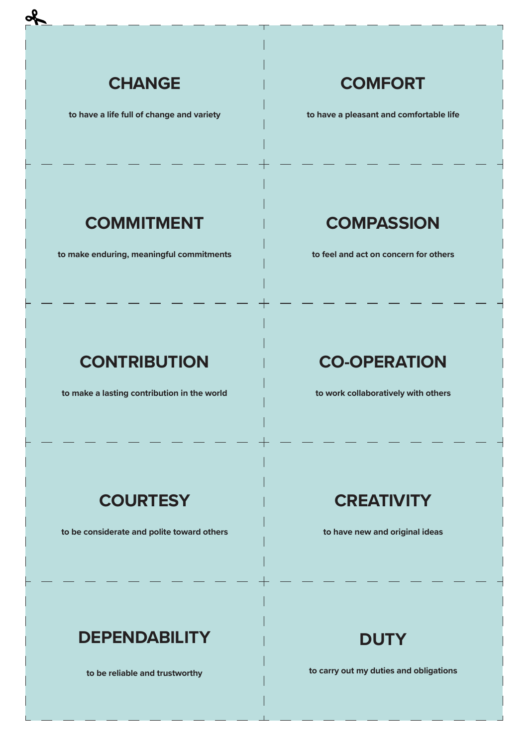

**to have a life full of change and variety**

## **COMFORT**

**to have a pleasant and comfortable life**

#### **COMMITMENT**

**to make enduring, meaningful commitments**

#### **COMPASSION**

**to feel and act on concern for others**

# **CONTRIBUTION**

**to make a lasting contribution in the world**

## **CO-OPERATION**

**to work collaboratively with others**

## **COURTESY**

**to be considerate and polite toward others**

#### **CREATIVITY**

**to have new and original ideas**

## **DEPENDABILITY**

**to be reliable and trustworthy**

## **DUTY**

**to carry out my duties and obligations**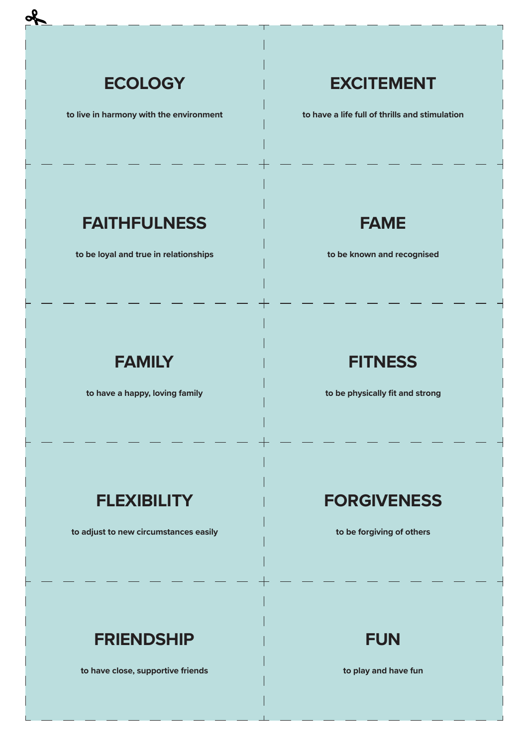

**to live in harmony with the environment**

## **EXCITEMENT**

**to have a life full of thrills and stimulation**

## **FAITHFULNESS**

**to be loyal and true in relationships**

#### **FAME**

**to be known and recognised**

## **FAMILY**

**to have a happy, loving family**

#### **FITNESS**

**to be physically fit and strong**

#### **FLEXIBILITY**

**to adjust to new circumstances easily**

#### **FORGIVENESS**

**to be forgiving of others**

# **FRIENDSHIP**

**to have close, supportive friends**

**FUN**

**to play and have fun**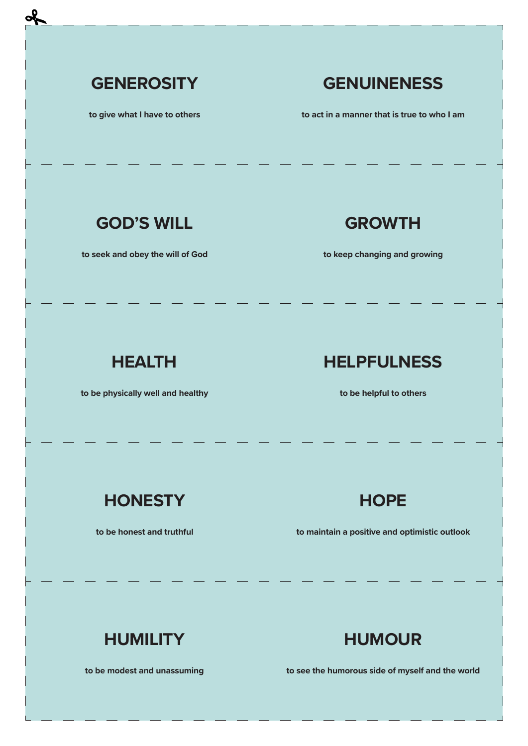#### **GENEROSITY**

**to give what I have to others**

## **GENUINENESS**

**to act in a manner that is true to who I am**

#### **GOD'S WILL**

**to seek and obey the will of God**

#### **GROWTH**

**to keep changing and growing**

## **HEALTH**

**to be physically well and healthy**

#### **HELPFULNESS**

**to be helpful to others**

## **HONESTY**

**to be honest and truthful**

## **HOPE**

**to maintain a positive and optimistic outlook**

# **HUMILITY**

**to be modest and unassuming**

## **HUMOUR**

**to see the humorous side of myself and the world**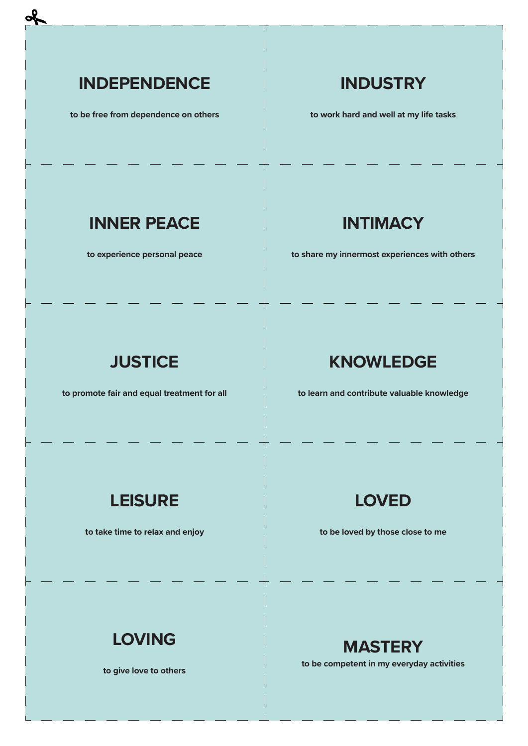## **INDEPENDENCE**

**to be free from dependence on others**

#### **INDUSTRY**

**to work hard and well at my life tasks**

## **INNER PEACE**

**to experience personal peace**

#### **INTIMACY**

**to share my innermost experiences with others**

## **JUSTICE**

**to promote fair and equal treatment for all**

#### **KNOWLEDGE**

**to learn and contribute valuable knowledge**

#### **LEISURE**

**to take time to relax and enjoy**

#### **LOVED**

**to be loved by those close to me**

# **LOVING**

**to give love to others**

#### **MASTERY**

**to be competent in my everyday activities**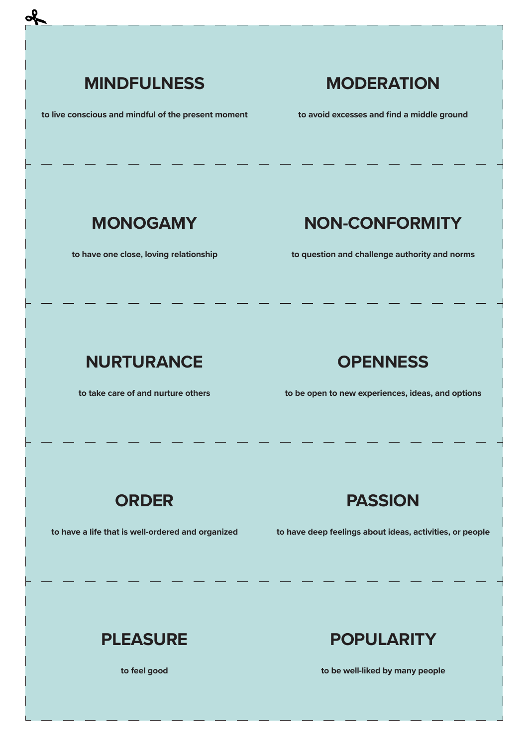## **MINDFULNESS**

**to live conscious and mindful of the present moment**

## **MODERATION**

**to avoid excesses and find a middle ground**

#### **MONOGAMY**

**to have one close, loving relationship**

# **NON-CONFORMITY**

**to question and challenge authority and norms**

## **NURTURANCE**

**to take care of and nurture others**

#### **OPENNESS**

**to be open to new experiences, ideas, and options**

#### **ORDER**

**to have a life that is well-ordered and organized**

#### **PASSION**

**to have deep feelings about ideas, activities, or people**

## **PLEASURE**

**to feel good**

## **POPULARITY**

**to be well-liked by many people**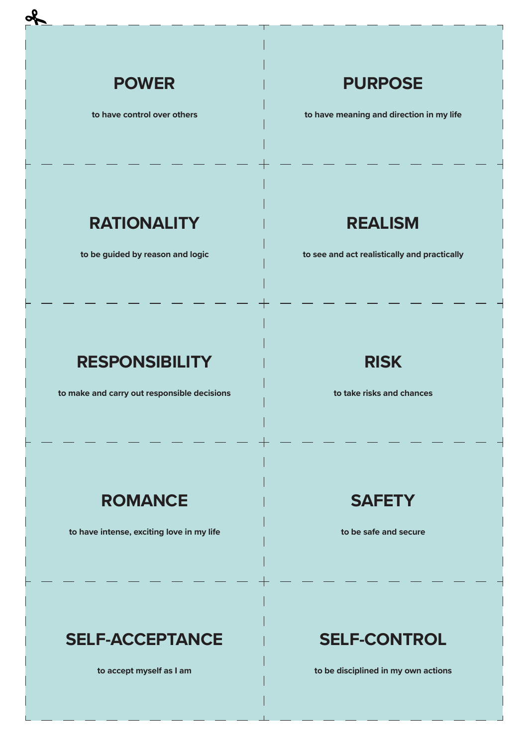

**to have control over others**

#### **PURPOSE**

**to have meaning and direction in my life**

#### **RATIONALITY**

**to be guided by reason and logic**

#### **REALISM**

**to see and act realistically and practically**

# **RESPONSIBILITY**

**to make and carry out responsible decisions**

#### **RISK**

**to take risks and chances**

## **ROMANCE**

**to have intense, exciting love in my life**



**to be safe and secure**

# **SELF-ACCEPTANCE**

**to accept myself as I am**

# **SELF-CONTROL**

**to be disciplined in my own actions**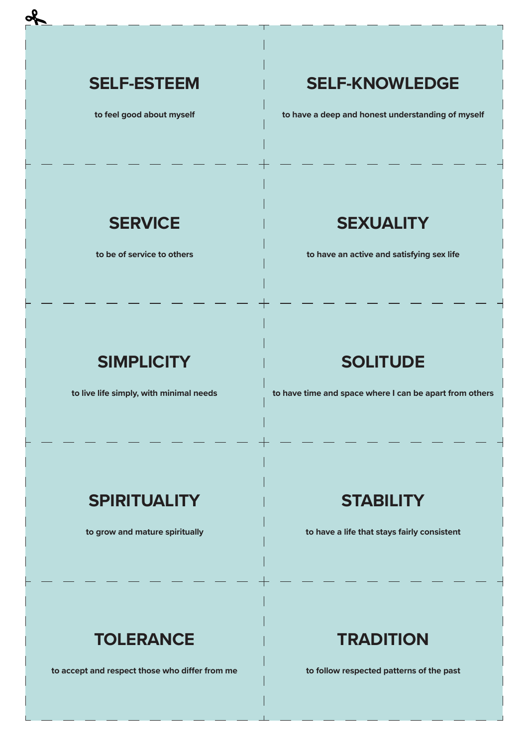#### **SELF-ESTEEM**

**to feel good about myself**

## **SELF-KNOWLEDGE**

**to have a deep and honest understanding of myself**

#### **SERVICE**

**to be of service to others**

## **SEXUALITY**

**to have an active and satisfying sex life**

## **SIMPLICITY**

**to live life simply, with minimal needs**

## **SOLITUDE**

**to have time and space where I can be apart from others**

## **SPIRITUALITY**

**to grow and mature spiritually**

#### **STABILITY**

**to have a life that stays fairly consistent**

# **TOLERANCE**

**to accept and respect those who differ from me**

## **TRADITION**

**to follow respected patterns of the past**